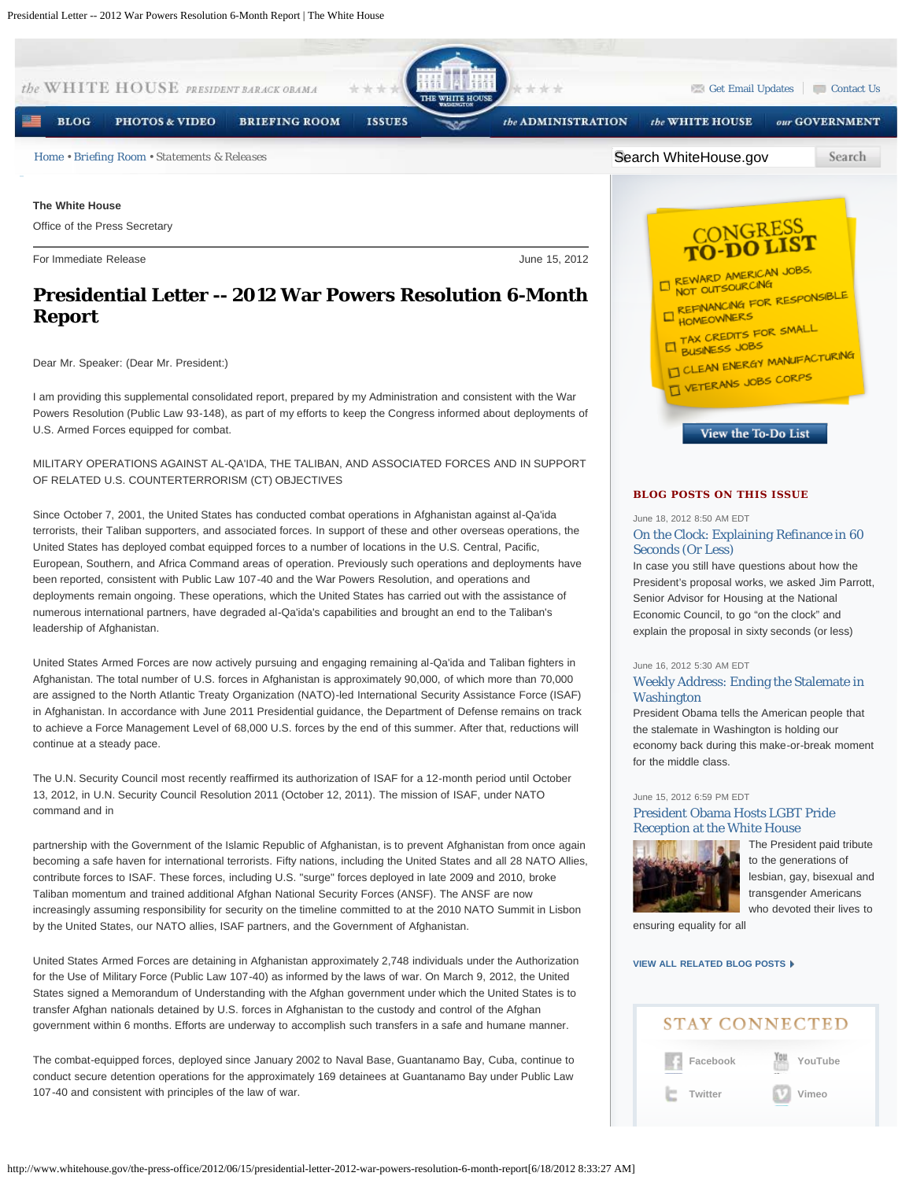

In case you still have questions about how the President's proposal works, we asked Jim Parrott, Senior Advisor for Housing at the National Economic Council, to go "on the clock" and explain the proposal in sixty seconds (or less)

#### June 16, 2012 5:30 AM EDT

## [Weekly Address: Ending the Stalemate in](http://www.whitehouse.gov/blog/2012/06/16/weekly-address-ending-stalemate-washington) **[Washington](http://www.whitehouse.gov/blog/2012/06/16/weekly-address-ending-stalemate-washington)**

President Obama tells the American people that the stalemate in Washington is holding our economy back during this make-or-break moment for the middle class.

#### June 15, 2012 6:59 PM EDT

## [President Obama Hosts LGBT Pride](http://www.whitehouse.gov/blog/2012/06/15/president-obama-hosts-lgbt-pride-reception-white-house) [Reception at the White House](http://www.whitehouse.gov/blog/2012/06/15/president-obama-hosts-lgbt-pride-reception-white-house)



[T](http://www.whitehouse.gov/blog/2012/06/15/president-obama-hosts-lgbt-pride-reception-white-house)he President paid tribute to the generations of lesbian, gay, bisexual and transgender Americans who devoted their lives to

ensuring equality for all

## **[VIEW ALL RELATED BLOG POSTS](http://www.whitehouse.gov/blog/issues/white-house)**

# **STAY CONNECTED**

**[Facebook](http://www.facebook.com/whitehouse) [Twitter](http://www.twitter.com/whitehouse) [YouTube](http://www.youtube.com/whitehouse) [Vimeo](http://www.vimeo.com/whitehouse)**

**Presidential Letter -- 2012 War Powers Resolution 6-Month Report**

Dear Mr. Speaker: (Dear Mr. President:)

Powers Resolution (Public Law 93-148), as part of my efforts to keep the Congress informed about deployments of U.S. Armed Forces equipped for combat.

OF RELATED U.S. COUNTERTERRORISM (CT) OBJECTIVES

terrorists, their Taliban supporters, and associated forces. In support of these and other overseas operations, the United States has deployed combat equipped forces to a number of locations in the U.S. Central, Pacific, European, Southern, and Africa Command areas of operation. Previously such operations and deployments have been reported, consistent with Public Law 107-40 and the War Powers Resolution, and operations and deployments remain ongoing. These operations, which the United States has carried out with the assistance of numerous international partners, have degraded al-Qa'ida's capabilities and brought an end to the Taliban's leadership of Afghanistan.

United States Armed Forces are now actively pursuing and engaging remaining al-Qa'ida and Taliban fighters in Afghanistan. The total number of U.S. forces in Afghanistan is approximately 90,000, of which more than 70,000 are assigned to the North Atlantic Treaty Organization (NATO)-led International Security Assistance Force (ISAF) in Afghanistan. In accordance with June 2011 Presidential guidance, the Department of Defense remains on track to achieve a Force Management Level of 68,000 U.S. forces by the end of this summer. After that, reductions will continue at a steady pace.

The U.N. Security Council most recently reaffirmed its authorization of ISAF for a 12-month period until October 13, 2012, in U.N. Security Council Resolution 2011 (October 12, 2011). The mission of ISAF, under NATO command and in

partnership with the Government of the Islamic Republic of Afghanistan, is to prevent Afghanistan from once again becoming a safe haven for international terrorists. Fifty nations, including the United States and all 28 NATO Allies, contribute forces to ISAF. These forces, including U.S. "surge" forces deployed in late 2009 and 2010, broke Taliban momentum and trained additional Afghan National Security Forces (ANSF). The ANSF are now increasingly assuming responsibility for security on the timeline committed to at the 2010 NATO Summit in Lisbon by the United States, our NATO allies, ISAF partners, and the Government of Afghanistan.

United States Armed Forces are detaining in Afghanistan approximately 2,748 individuals under the Authorization for the Use of Military Force (Public Law 107-40) as informed by the laws of war. On March 9, 2012, the United States signed a Memorandum of Understanding with the Afghan government under which the United States is to transfer Afghan nationals detained by U.S. forces in Afghanistan to the custody and control of the Afghan government within 6 months. Efforts are underway to accomplish such transfers in a safe and humane manner.

The combat-equipped forces, deployed since January 2002 to Naval Base, Guantanamo Bay, Cuba, continue to conduct secure detention operations for the approximately 169 detainees at Guantanamo Bay under Public Law 107-40 and consistent with principles of the law of war.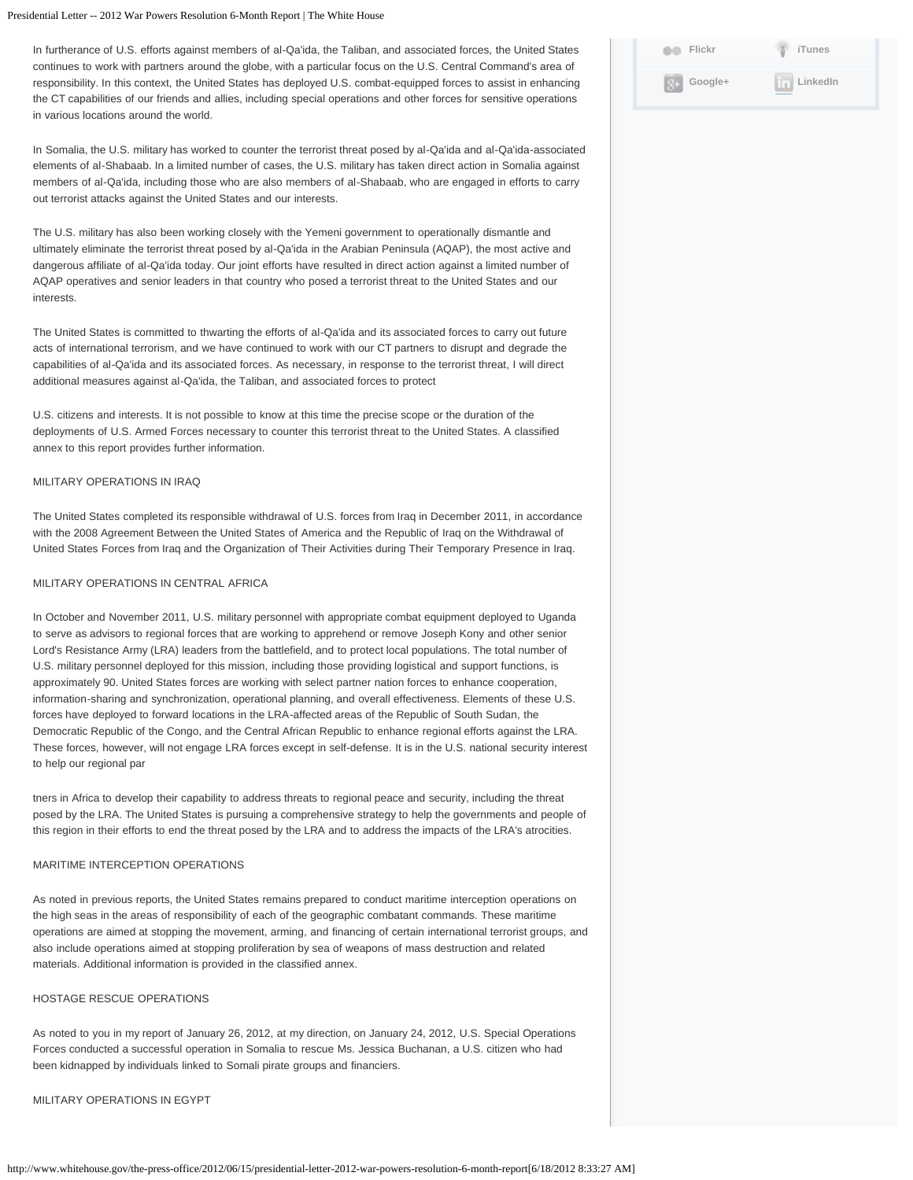### Presidential Letter -- 2012 War Powers Resolution 6-Month Report | The White House

In furtherance of U.S. efforts against members of al-Qa'ida, the Taliban, and associated forces, the United States continues to work with partners around the globe, with a particular focus on the U.S. Central Command's area of responsibility. In this context, the United States has deployed U.S. combat-equipped forces to assist in enhancing the CT capabilities of our friends and allies, including special operations and other forces for sensitive operations in various locations around the world.

In Somalia, the U.S. military has worked to counter the terrorist threat posed by al-Qa'ida and al-Qa'ida-associated elements of al-Shabaab. In a limited number of cases, the U.S. military has taken direct action in Somalia against members of al-Qa'ida, including those who are also members of al-Shabaab, who are engaged in efforts to carry out terrorist attacks against the United States and our interests.

The U.S. military has also been working closely with the Yemeni government to operationally dismantle and ultimately eliminate the terrorist threat posed by al-Qa'ida in the Arabian Peninsula (AQAP), the most active and dangerous affiliate of al-Qa'ida today. Our joint efforts have resulted in direct action against a limited number of AQAP operatives and senior leaders in that country who posed a terrorist threat to the United States and our interests.

The United States is committed to thwarting the efforts of al-Qa'ida and its associated forces to carry out future acts of international terrorism, and we have continued to work with our CT partners to disrupt and degrade the capabilities of al-Qa'ida and its associated forces. As necessary, in response to the terrorist threat, I will direct additional measures against al-Qa'ida, the Taliban, and associated forces to protect

U.S. citizens and interests. It is not possible to know at this time the precise scope or the duration of the deployments of U.S. Armed Forces necessary to counter this terrorist threat to the United States. A classified annex to this report provides further information.

### MILITARY OPERATIONS IN IRAQ

The United States completed its responsible withdrawal of U.S. forces from Iraq in December 2011, in accordance with the 2008 Agreement Between the United States of America and the Republic of Iraq on the Withdrawal of United States Forces from Iraq and the Organization of Their Activities during Their Temporary Presence in Iraq.

#### MILITARY OPERATIONS IN CENTRAL AFRICA

In October and November 2011, U.S. military personnel with appropriate combat equipment deployed to Uganda to serve as advisors to regional forces that are working to apprehend or remove Joseph Kony and other senior Lord's Resistance Army (LRA) leaders from the battlefield, and to protect local populations. The total number of U.S. military personnel deployed for this mission, including those providing logistical and support functions, is approximately 90. United States forces are working with select partner nation forces to enhance cooperation, information-sharing and synchronization, operational planning, and overall effectiveness. Elements of these U.S. forces have deployed to forward locations in the LRA-affected areas of the Republic of South Sudan, the Democratic Republic of the Congo, and the Central African Republic to enhance regional efforts against the LRA. These forces, however, will not engage LRA forces except in self-defense. It is in the U.S. national security interest to help our regional par

tners in Africa to develop their capability to address threats to regional peace and security, including the threat posed by the LRA. The United States is pursuing a comprehensive strategy to help the governments and people of this region in their efforts to end the threat posed by the LRA and to address the impacts of the LRA's atrocities.

## MARITIME INTERCEPTION OPERATIONS

As noted in previous reports, the United States remains prepared to conduct maritime interception operations on the high seas in the areas of responsibility of each of the geographic combatant commands. These maritime operations are aimed at stopping the movement, arming, and financing of certain international terrorist groups, and also include operations aimed at stopping proliferation by sea of weapons of mass destruction and related materials. Additional information is provided in the classified annex.

## HOSTAGE RESCUE OPERATIONS

As noted to you in my report of January 26, 2012, at my direction, on January 24, 2012, U.S. Special Operations Forces conducted a successful operation in Somalia to rescue Ms. Jessica Buchanan, a U.S. citizen who had been kidnapped by individuals linked to Somali pirate groups and financiers.

## MILITARY OPERATIONS IN EGYPT

| 66   | Flickr  | <b>iTunes</b>   |
|------|---------|-----------------|
| $8+$ | Google+ | <b>LinkedIn</b> |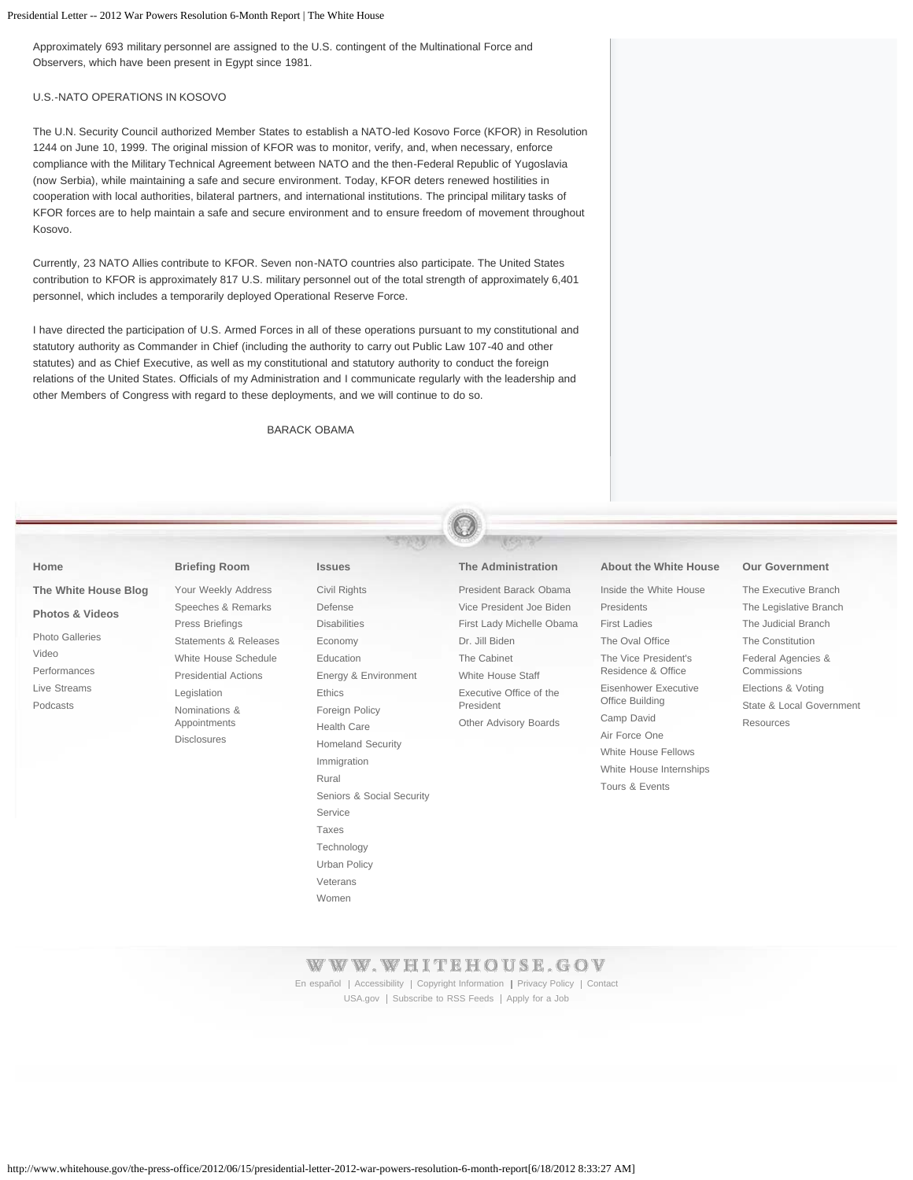Presidential Letter -- 2012 War Powers Resolution 6-Month Report | The White House

Approximately 693 military personnel are assigned to the U.S. contingent of the Multinational Force and Observers, which have been present in Egypt since 1981.

## U.S.-NATO OPERATIONS IN KOSOVO

The U.N. Security Council authorized Member States to establish a NATO-led Kosovo Force (KFOR) in Resolution 1244 on June 10, 1999. The original mission of KFOR was to monitor, verify, and, when necessary, enforce compliance with the Military Technical Agreement between NATO and the then-Federal Republic of Yugoslavia (now Serbia), while maintaining a safe and secure environment. Today, KFOR deters renewed hostilities in cooperation with local authorities, bilateral partners, and international institutions. The principal military tasks of KFOR forces are to help maintain a safe and secure environment and to ensure freedom of movement throughout Kosovo.

Currently, 23 NATO Allies contribute to KFOR. Seven non-NATO countries also participate. The United States contribution to KFOR is approximately 817 U.S. military personnel out of the total strength of approximately 6,401 personnel, which includes a temporarily deployed Operational Reserve Force.

I have directed the participation of U.S. Armed Forces in all of these operations pursuant to my constitutional and statutory authority as Commander in Chief (including the authority to carry out Public Law 107-40 and other statutes) and as Chief Executive, as well as my constitutional and statutory authority to conduct the foreign relations of the United States. Officials of my Administration and I communicate regularly with the leadership and other Members of Congress with regard to these deployments, and we will continue to do so.

BARACK OBAMA

#### **[Home](http://www.whitehouse.gov/)**

## **[The White House Blog](http://www.whitehouse.gov/blog)**

## **[Photos & Videos](http://www.whitehouse.gov/video)** [Photo Galleries](http://www.whitehouse.gov/photos) [Video](http://www.whitehouse.gov/video) [Performances](http://www.whitehouse.gov/performances) [Live Streams](http://www.whitehouse.gov/live) [Podcasts](http://www.whitehouse.gov/podcasts)

**[Briefing Room](http://www.whitehouse.gov/briefing-room)** [Your Weekly Address](http://www.whitehouse.gov/briefing-room/weekly-address) [Speeches & Remarks](http://www.whitehouse.gov/briefing-room/speeches-and-remarks) [Press Briefings](http://www.whitehouse.gov/briefing-room/press-briefings) [Statements & Releases](http://www.whitehouse.gov/briefing-room/statements-and-releases) [White House Schedule](http://www.whitehouse.gov/schedule/complete) [Presidential Actions](http://www.whitehouse.gov/briefing-room/presidential-actions) [Legislation](http://www.whitehouse.gov/briefing-room/legislation) [Nominations &](http://www.whitehouse.gov/briefing-room/nominations-and-appointments) [Appointments](http://www.whitehouse.gov/briefing-room/nominations-and-appointments) [Disclosures](http://www.whitehouse.gov/briefing-room/disclosures/visitor-records)

#### **[Issues](http://www.whitehouse.gov/issues)**

# [Civil Rights](http://www.whitehouse.gov/issues/civil-rights) [Defense](http://www.whitehouse.gov/issues/defense) **[Disabilities](http://www.whitehouse.gov/issues/disabilities)** [Economy](http://www.whitehouse.gov/economy) [Education](http://www.whitehouse.gov/issues/education) [Energy & Environment](http://www.whitehouse.gov/energy) [Ethics](http://www.whitehouse.gov/21stcenturygov) [Foreign Policy](http://www.whitehouse.gov/issues/foreign-policy) [Health Care](http://www.whitehouse.gov/healthreform) [Homeland Security](http://www.whitehouse.gov/issues/homeland-security) [Immigration](http://www.whitehouse.gov/issues/fixing-immigration-system-america-s-21st-century-economy) [Rural](http://www.whitehouse.gov/administration/eop/rural-council) [Seniors & Social Security](http://www.whitehouse.gov/issues/seniors-and-social-security) [Service](http://www.whitehouse.gov/issues/service) [Taxes](http://www.whitehouse.gov/issues/taxes) [Technology](http://www.whitehouse.gov/issues/technology) [Urban Policy](http://www.whitehouse.gov/issues/urban-policy) [Veterans](http://www.whitehouse.gov/issues/veterans) [Women](http://www.whitehouse.gov/issues/women)

## **[The Administration](http://www.whitehouse.gov/administration)**

[President Barack Obama](http://www.whitehouse.gov/administration/president-obama) [Vice President Joe Biden](http://www.whitehouse.gov/administration/vice-president-biden) [First Lady Michelle Obama](http://www.whitehouse.gov/administration/first-lady-michelle-obama) [Dr. Jill Biden](http://www.whitehouse.gov/administration/jill-biden) [The Cabinet](http://www.whitehouse.gov/administration/cabinet) [White House Staff](http://www.whitehouse.gov/administration/staff) [Executive Office of the](http://www.whitehouse.gov/administration/eop) [President](http://www.whitehouse.gov/administration/eop) [Other Advisory Boards](http://www.whitehouse.gov/administration/other-advisory-boards)

#### **[About the White House](http://www.whitehouse.gov/about)**

[Inside the White House](http://www.whitehouse.gov/about/inside-white-house%20) [Presidents](http://www.whitehouse.gov/about/presidents) [First Ladies](http://www.whitehouse.gov/about/first-ladies) [The Oval Office](http://www.whitehouse.gov/about/oval-office) [The Vice President's](http://www.whitehouse.gov/about/vp-residence) [Residence & Office](http://www.whitehouse.gov/about/vp-residence) [Eisenhower Executive](http://www.whitehouse.gov/about/eeob) [Office Building](http://www.whitehouse.gov/about/eeob) [Camp David](http://www.whitehouse.gov/about/camp-david) [Air Force One](http://www.whitehouse.gov/about/air-force-one) [White House Fellows](http://www.whitehouse.gov/about/fellows) [White House Internships](http://www.whitehouse.gov/about/internships) [Tours & Events](http://www.whitehouse.gov/about/tours-and-events)

#### **[Our Government](http://www.whitehouse.gov/our-government)**

[The Executive Branch](http://www.whitehouse.gov/our-government/executive-branch) [The Legislative Branch](http://www.whitehouse.gov/our-government/legislative-branch) [The Judicial Branch](http://www.whitehouse.gov/our-government/judicial-branch) [The Constitution](http://www.whitehouse.gov/our-government/the-constitution) [Federal Agencies &](http://www.whitehouse.gov/our-government/federal-agencies-and-commissions) [Commissions](http://www.whitehouse.gov/our-government/federal-agencies-and-commissions) [Elections & Voting](http://www.whitehouse.gov/our-government/elections-and-voting) [State & Local Government](http://www.whitehouse.gov/our-government/state-and-local-government) [Resources](http://www.whitehouse.gov/our-government/resources)

## WWW.WHITEHOUSE.GOV

[En español](http://www.whitehouse.gov/espanol) | [Accessibility](http://www.whitehouse.gov/accessibility) | [Copyright Information](http://www.whitehouse.gov/copyright) | [Privacy Policy](http://www.whitehouse.gov/privacy/archive2) | [Contact](http://www.whitehouse.gov/contact/submit-questions-and-comments/old2) [USA.gov](http://usa.gov/) | [Subscribe to RSS Feeds](http://www.whitehouse.gov/rss) | [Apply for a Job](https://app2.whitehouse.gov/ppo/)